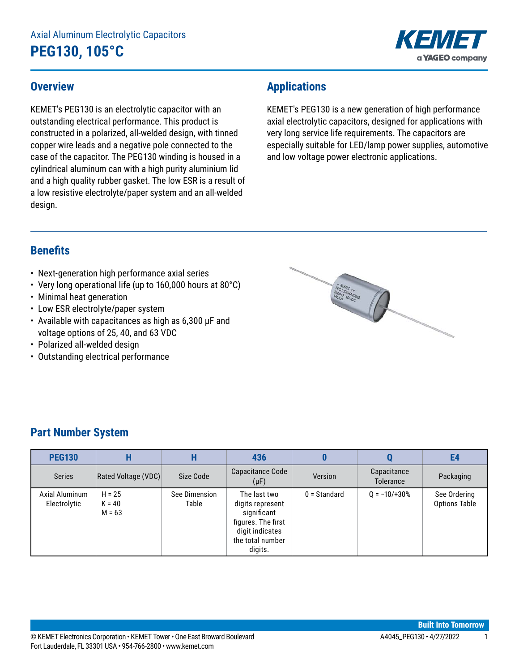# Axial Aluminum Electrolytic Capacitors **PEG130, 105°C**



#### **Overview**

KEMET's PEG130 is an electrolytic capacitor with an outstanding electrical performance. This product is constructed in a polarized, all-welded design, with tinned copper wire leads and a negative pole connected to the case of the capacitor. The PEG130 winding is housed in a cylindrical aluminum can with a high purity aluminium lid and a high quality rubber gasket. The low ESR is a result of a low resistive electrolyte/paper system and an all-welded design.

# **Applications**

KEMET's PEG130 is a new generation of high performance axial electrolytic capacitors, designed for applications with very long service life requirements. The capacitors are especially suitable for LED/lamp power supplies, automotive and low voltage power electronic applications.

### **Benefits**

- Next-generation high performance axial series
- Very long operational life (up to 160,000 hours at 80°C)
- Minimal heat generation
- Low ESR electrolyte/paper system
- Available with capacitances as high as 6,300 µF and voltage options of 25, 40, and 63 VDC
- Polarized all-welded design
- Outstanding electrical performance



# **Part Number System**

| <b>PEG130</b>                  |                                  | п                      | 436                                                                                                                     |                |                                 | E4                                   |
|--------------------------------|----------------------------------|------------------------|-------------------------------------------------------------------------------------------------------------------------|----------------|---------------------------------|--------------------------------------|
| <b>Series</b>                  | Rated Voltage (VDC)              | Size Code              | Capacitance Code<br>$(\mu F)$                                                                                           | Version        | Capacitance<br><b>Tolerance</b> | Packaging                            |
| Axial Aluminum<br>Electrolytic | $H = 25$<br>$K = 40$<br>$M = 63$ | See Dimension<br>Table | The last two<br>digits represent<br>significant<br>figures. The first<br>digit indicates<br>the total number<br>digits. | $0 =$ Standard | $Q = -10/ + 30%$                | See Ordering<br><b>Options Table</b> |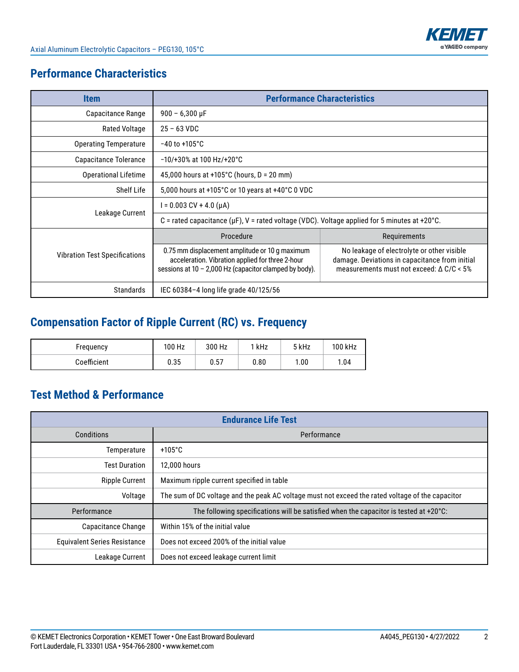

## **Performance Characteristics**

| <b>Item</b>                                               | <b>Performance Characteristics</b>                                                                                                                                                                                                                                                                                |              |  |  |  |  |  |  |
|-----------------------------------------------------------|-------------------------------------------------------------------------------------------------------------------------------------------------------------------------------------------------------------------------------------------------------------------------------------------------------------------|--------------|--|--|--|--|--|--|
| Capacitance Range                                         | $900 - 6,300 \,\mu F$                                                                                                                                                                                                                                                                                             |              |  |  |  |  |  |  |
| <b>Rated Voltage</b>                                      | $25 - 63 \text{ VDC}$                                                                                                                                                                                                                                                                                             |              |  |  |  |  |  |  |
| <b>Operating Temperature</b>                              | $-40$ to $+105^{\circ}$ C                                                                                                                                                                                                                                                                                         |              |  |  |  |  |  |  |
| Capacitance Tolerance                                     | $-10/+30\%$ at 100 Hz/+20°C                                                                                                                                                                                                                                                                                       |              |  |  |  |  |  |  |
| <b>Operational Lifetime</b>                               | 45,000 hours at +105 $^{\circ}$ C (hours, D = 20 mm)                                                                                                                                                                                                                                                              |              |  |  |  |  |  |  |
| Shelf Life                                                | 5,000 hours at +105°C or 10 years at +40°C 0 VDC                                                                                                                                                                                                                                                                  |              |  |  |  |  |  |  |
|                                                           | l = 0.003 CV + 4.0 (μA)                                                                                                                                                                                                                                                                                           |              |  |  |  |  |  |  |
| Leakage Current                                           | C = rated capacitance ( $\mu$ F), V = rated voltage (VDC). Voltage applied for 5 minutes at +20°C.                                                                                                                                                                                                                |              |  |  |  |  |  |  |
|                                                           | Procedure                                                                                                                                                                                                                                                                                                         | Requirements |  |  |  |  |  |  |
| <b>Vibration Test Specifications</b>                      | 0.75 mm displacement amplitude or 10 g maximum<br>No leakage of electrolyte or other visible<br>acceleration. Vibration applied for three 2-hour<br>damage. Deviations in capacitance from initial<br>sessions at $10 - 2,000$ Hz (capacitor clamped by body).<br>measurements must not exceed: $\Delta$ C/C < 5% |              |  |  |  |  |  |  |
| <b>Standards</b><br>IEC 60384-4 long life grade 40/125/56 |                                                                                                                                                                                                                                                                                                                   |              |  |  |  |  |  |  |

# **Compensation Factor of Ripple Current (RC) vs. Frequency**

| Frequency   | 100 Hz | 300 Hz | 1 kHz | 5 kHz | 100 kHz |
|-------------|--------|--------|-------|-------|---------|
| Coefficient | 0.35   | 0.57   | 0.80  | 1.00  | 1.04    |

# **Test Method & Performance**

| <b>Endurance Life Test</b>          |                                                                                                  |  |  |  |  |  |  |
|-------------------------------------|--------------------------------------------------------------------------------------------------|--|--|--|--|--|--|
| Conditions                          | Performance                                                                                      |  |  |  |  |  |  |
| Temperature                         | $+105^{\circ}$ C                                                                                 |  |  |  |  |  |  |
| <b>Test Duration</b>                | 12,000 hours                                                                                     |  |  |  |  |  |  |
| <b>Ripple Current</b>               | Maximum ripple current specified in table                                                        |  |  |  |  |  |  |
| Voltage                             | The sum of DC voltage and the peak AC voltage must not exceed the rated voltage of the capacitor |  |  |  |  |  |  |
| Performance                         | The following specifications will be satisfied when the capacitor is tested at $+20^{\circ}$ C:  |  |  |  |  |  |  |
| Capacitance Change                  | Within 15% of the initial value                                                                  |  |  |  |  |  |  |
| <b>Equivalent Series Resistance</b> | Does not exceed 200% of the initial value                                                        |  |  |  |  |  |  |
| Leakage Current                     | Does not exceed leakage current limit                                                            |  |  |  |  |  |  |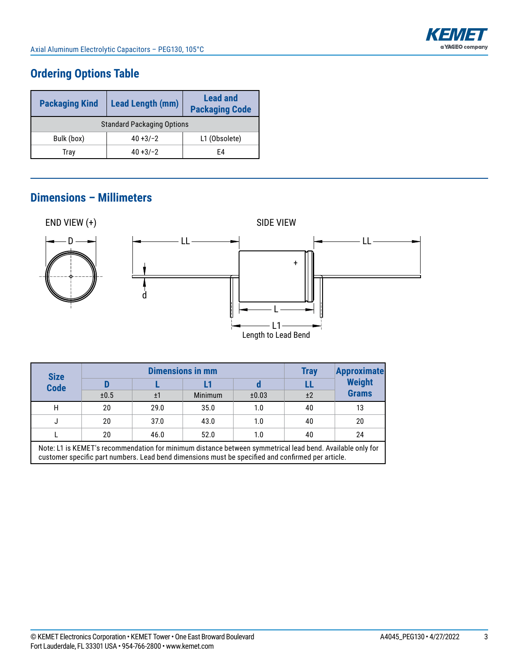

# **Ordering Options Table**

| <b>Packaging Kind</b>             | <b>Lead Length (mm)</b> | <b>Lead and</b><br><b>Packaging Code</b> |  |  |  |  |  |  |
|-----------------------------------|-------------------------|------------------------------------------|--|--|--|--|--|--|
| <b>Standard Packaging Options</b> |                         |                                          |  |  |  |  |  |  |
| Bulk (box)                        | L1 (Obsolete)           |                                          |  |  |  |  |  |  |
| Trav                              | $40 + 3/-2$             | F4                                       |  |  |  |  |  |  |

#### **Dimensions – Millimeters**



| <b>Size</b><br><b>Code</b>                                                                                                                                                                                     |      | <b>Dimensions in mm</b> | <b>Tray</b>    | <b>Approximate</b> |    |                               |  |  |
|----------------------------------------------------------------------------------------------------------------------------------------------------------------------------------------------------------------|------|-------------------------|----------------|--------------------|----|-------------------------------|--|--|
|                                                                                                                                                                                                                | D    |                         |                |                    |    | <b>Weight</b><br><b>Grams</b> |  |  |
|                                                                                                                                                                                                                | ±0.5 | ±1                      | <b>Minimum</b> | ±0.03              | ±2 |                               |  |  |
| Н                                                                                                                                                                                                              | 20   | 29.0                    | 35.0           | 1.0                | 40 | 13                            |  |  |
|                                                                                                                                                                                                                | 20   | 37.0                    | 43.0           | 1.0                | 40 | 20                            |  |  |
|                                                                                                                                                                                                                | 20   | 46.0                    | 52.0           | 1.0                | 40 | 24                            |  |  |
| Note: L1 is KEMET's recommendation for minimum distance between symmetrical lead bend. Available only for<br>customer specific part numbers. Lead bend dimensions must be specified and confirmed per article. |      |                         |                |                    |    |                               |  |  |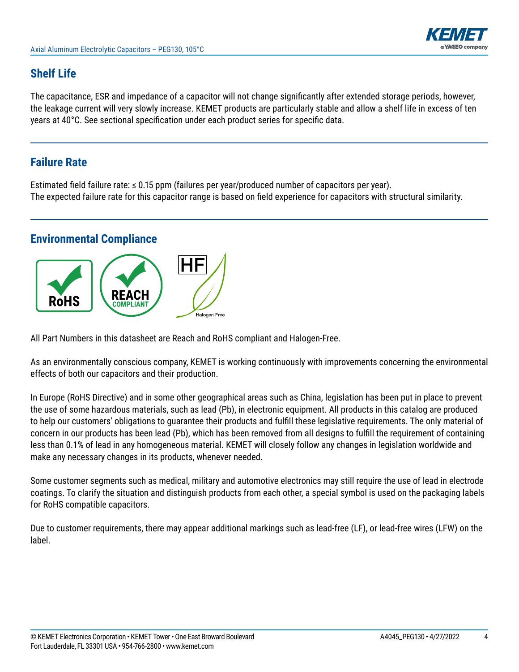

## **Shelf Life**

The capacitance, ESR and impedance of a capacitor will not change significantly after extended storage periods, however, the leakage current will very slowly increase. KEMET products are particularly stable and allow a shelf life in excess of ten years at 40°C. See sectional specification under each product series for specific data.

### **Failure Rate**

Estimated field failure rate: ≤ 0.15 ppm (failures per year/produced number of capacitors per year). The expected failure rate for this capacitor range is based on field experience for capacitors with structural similarity.

#### **Environmental Compliance**



All Part Numbers in this datasheet are Reach and RoHS compliant and Halogen-Free.

As an environmentally conscious company, KEMET is working continuously with improvements concerning the environmental effects of both our capacitors and their production.

In Europe (RoHS Directive) and in some other geographical areas such as China, legislation has been put in place to prevent the use of some hazardous materials, such as lead (Pb), in electronic equipment. All products in this catalog are produced to help our customers' obligations to guarantee their products and fulfill these legislative requirements. The only material of concern in our products has been lead (Pb), which has been removed from all designs to fulfill the requirement of containing less than 0.1% of lead in any homogeneous material. KEMET will closely follow any changes in legislation worldwide and make any necessary changes in its products, whenever needed.

Some customer segments such as medical, military and automotive electronics may still require the use of lead in electrode coatings. To clarify the situation and distinguish products from each other, a special symbol is used on the packaging labels for RoHS compatible capacitors.

Due to customer requirements, there may appear additional markings such as lead-free (LF), or lead-free wires (LFW) on the label.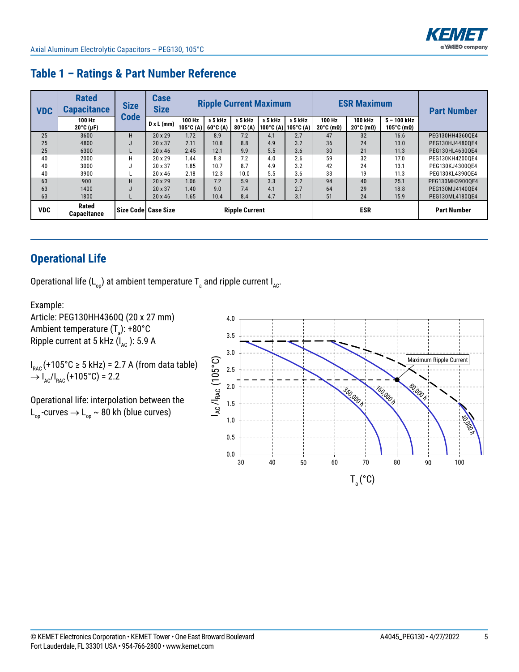

| <b>VDC</b> | <b>Rated</b><br><b>Capacitance</b> | <b>Size</b> | <b>Case</b><br><b>Size</b> | <b>Ripple Current Maximum</b> |                                      |                                      |              | <b>ESR Maximum</b>                      |                                        |                                         | <b>Part Number</b>                   |                 |
|------------|------------------------------------|-------------|----------------------------|-------------------------------|--------------------------------------|--------------------------------------|--------------|-----------------------------------------|----------------------------------------|-----------------------------------------|--------------------------------------|-----------------|
|            | 100 Hz<br>$20^{\circ}$ C (µF)      | <b>Code</b> | $D \times L$ (mm)          | 100 Hz<br>$105^{\circ}$ C (A) | $\geq$ 5 kHz<br>$60^{\circ}$ C $(A)$ | $\geq$ 5 kHz<br>$80^{\circ}$ C $(A)$ | $\geq 5$ kHz | $\geq$ 5 kHz<br>  100°C (A)   105°C (A) | 100 Hz<br>$20^{\circ}$ C (m $\Omega$ ) | 100 kHz<br>$20^{\circ}$ C (m $\Omega$ ) | $5 - 100$ kHz<br>105°C (m $\Omega$ ) |                 |
| 25         | 3600                               | н           | $20 \times 29$             | 1.72                          | 8.9                                  | 7.2                                  | 4.1          | 2.7                                     | 47                                     | 32                                      | 16.6                                 | PEG130HH4360QE4 |
| 25         | 4800                               |             | 20 x 37                    | 2.11                          | 10.8                                 | 8.8                                  | 4.9          | 3.2                                     | 36                                     | 24                                      | 13.0                                 | PEG130HJ44800E4 |
| 25         | 6300                               |             | $20 \times 46$             | 2.45                          | 12.1                                 | 9.9                                  | 5.5          | 3.6                                     | 30                                     | 21                                      | 11.3                                 | PEG130HL4630OE4 |
| 40         | 2000                               | н           | $20 \times 29$             | 1.44                          | 8.8                                  | 7.2                                  | 4.0          | 2.6                                     | 59                                     | 32                                      | 17.0                                 | PEG130KH42000E4 |
| 40         | 3000                               | J           | 20 x 37                    | 1.85                          | 10.7                                 | 8.7                                  | 4.9          | 3.2                                     | 42                                     | 24                                      | 13.1                                 | PEG130KJ43000E4 |
| 40         | 3900                               |             | $20 \times 46$             | 2.18                          | 12.3                                 | 10.0                                 | 5.5          | 3.6                                     | 33                                     | 19                                      | 11.3                                 | PEG130KL4390OE4 |
| 63         | 900                                | н           | $20 \times 29$             | 1.06                          | 7.2                                  | 5.9                                  | 3.3          | 2.2                                     | 94                                     | 40                                      | 25.1                                 | PEG130MH39000E4 |
| 63         | 1400                               |             | 20 x 37                    | 1.40                          | 9.0                                  | 7.4                                  | 4.1          | 2.7                                     | 64                                     | 29                                      | 18.8                                 | PEG130MJ41400E4 |
| 63         | 1800                               |             | 20 x 46                    | 1.65                          | 10.4                                 | 8.4                                  | 4.7          | 3.1                                     | 51                                     | 24                                      | 15.9                                 | PEG130ML41800E4 |
| <b>VDC</b> | <b>Rated</b><br><b>Capacitance</b> |             | Size Code   Case Size      | <b>Ripple Current</b>         |                                      |                                      |              | <b>ESR</b>                              |                                        | <b>Part Number</b>                      |                                      |                 |

## **Table 1 – Ratings & Part Number Reference**

# **Operational Life**

Operational life (L<sub>op</sub>) at ambient temperature T<sub>a</sub> and ripple current I<sub>AC</sub>.

Example:

Article: PEG130HH4360Q (20 x 27 mm) Ambient temperature (T $_{\rm a}$ ): +80°C Ripple current at 5 kHz  $(I_{AC})$ : 5.9 A

 $I_{\text{RAC}}$ (+105°C  $\geq 5$  kHz) = 2.7 A (from data table)  $\rightarrow$  I<sub>AC</sub>/I<sub>RAC</sub> (+105°C) = 2.2

Operational life: interpolation between the L<sub>op</sub>-curves  $\rightarrow$  L<sub>op</sub> ~ 80 kh (blue curves)

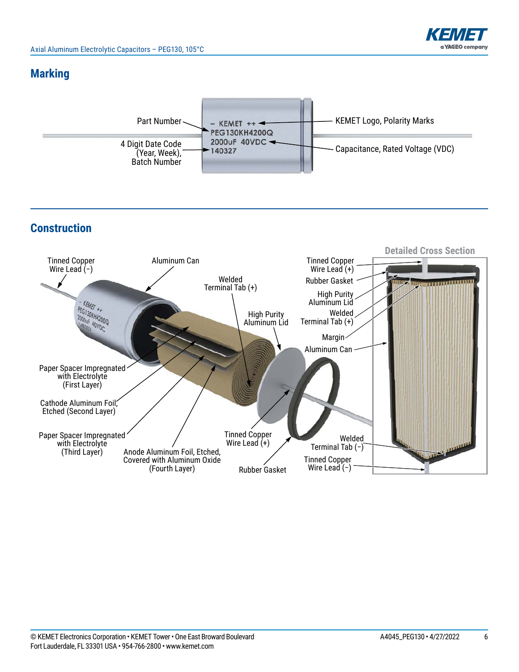

### **Marking**



# **Construction**

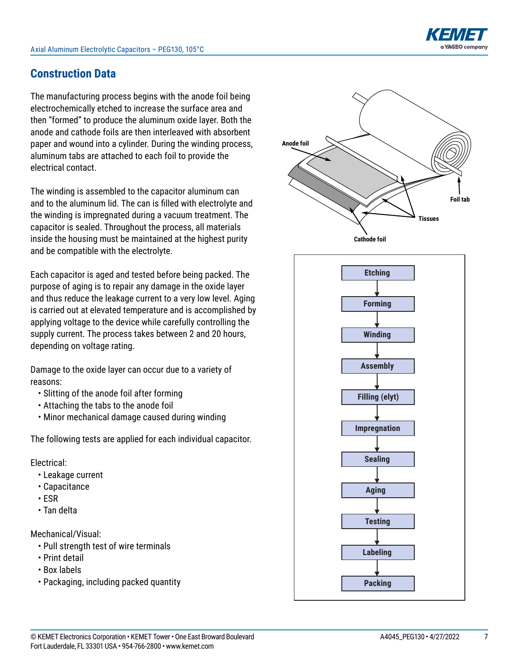

## **Construction Data**

The manufacturing process begins with the anode foil being electrochemically etched to increase the surface area and then "formed" to produce the aluminum oxide layer. Both the anode and cathode foils are then interleaved with absorbent paper and wound into a cylinder. During the winding process, aluminum tabs are attached to each foil to provide the electrical contact.

The winding is assembled to the capacitor aluminum can and to the aluminum lid. The can is filled with electrolyte and the winding is impregnated during a vacuum treatment. The capacitor is sealed. Throughout the process, all materials inside the housing must be maintained at the highest purity and be compatible with the electrolyte.

Each capacitor is aged and tested before being packed. The purpose of aging is to repair any damage in the oxide layer and thus reduce the leakage current to a very low level. Aging is carried out at elevated temperature and is accomplished by applying voltage to the device while carefully controlling the supply current. The process takes between 2 and 20 hours, depending on voltage rating.

Damage to the oxide layer can occur due to a variety of reasons:

- Slitting of the anode foil after forming
- Attaching the tabs to the anode foil
- Minor mechanical damage caused during winding

The following tests are applied for each individual capacitor.

Electrical:

- Leakage current
- Capacitance
- ESR
- Tan delta

Mechanical/Visual:

- Pull strength test of wire terminals
- Print detail
- Box labels
- Packaging, including packed quantity